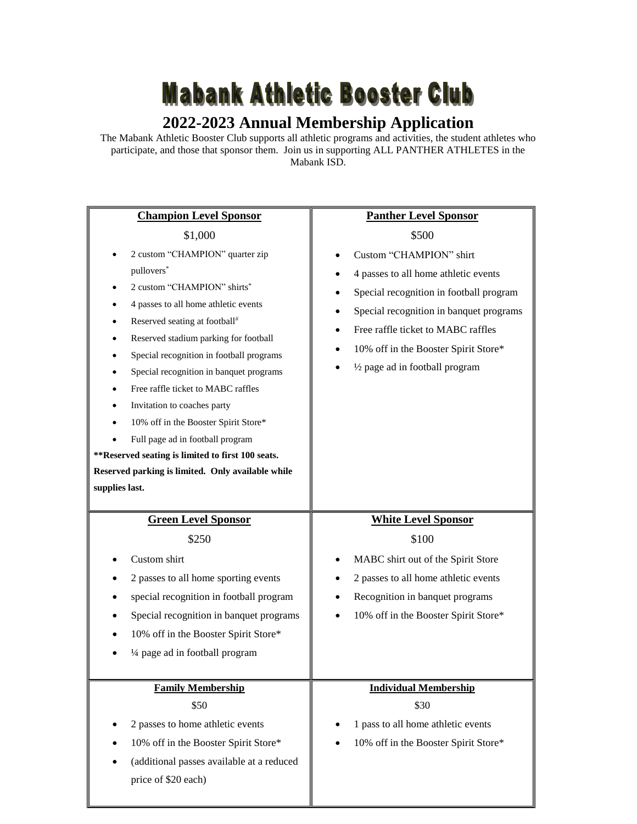## **Mabank Athletic Booster Club**

## **2022-2023 Annual Membership Application**

The Mabank Athletic Booster Club supports all athletic programs and activities, the student athletes who participate, and those that sponsor them. Join us in supporting ALL PANTHER ATHLETES in the Mabank ISD.

| <b>Champion Level Sponsor</b>                                                                                                                                                                                                                                                                                                                                                                                                                                                                                                                                | <b>Panther Level Sponsor</b>                                                                                                                                                                                                                                           |  |
|--------------------------------------------------------------------------------------------------------------------------------------------------------------------------------------------------------------------------------------------------------------------------------------------------------------------------------------------------------------------------------------------------------------------------------------------------------------------------------------------------------------------------------------------------------------|------------------------------------------------------------------------------------------------------------------------------------------------------------------------------------------------------------------------------------------------------------------------|--|
| \$1,000                                                                                                                                                                                                                                                                                                                                                                                                                                                                                                                                                      | \$500                                                                                                                                                                                                                                                                  |  |
| 2 custom "CHAMPION" quarter zip<br>pullovers*<br>2 custom "CHAMPION" shirts <sup>*</sup><br>4 passes to all home athletic events<br>Reserved seating at football#<br>Reserved stadium parking for football<br>Special recognition in football programs<br>Special recognition in banquet programs<br>Free raffle ticket to MABC raffles<br>Invitation to coaches party<br>10% off in the Booster Spirit Store*<br>Full page ad in football program<br>**Reserved seating is limited to first 100 seats.<br>Reserved parking is limited. Only available while | Custom "CHAMPION" shirt<br>4 passes to all home athletic events<br>Special recognition in football program<br>Special recognition in banquet programs<br>Free raffle ticket to MABC raffles<br>10% off in the Booster Spirit Store*<br>1/2 page ad in football program |  |
| supplies last.                                                                                                                                                                                                                                                                                                                                                                                                                                                                                                                                               |                                                                                                                                                                                                                                                                        |  |
| <b>Green Level Sponsor</b>                                                                                                                                                                                                                                                                                                                                                                                                                                                                                                                                   | <b>White Level Sponsor</b>                                                                                                                                                                                                                                             |  |
| \$250                                                                                                                                                                                                                                                                                                                                                                                                                                                                                                                                                        | \$100                                                                                                                                                                                                                                                                  |  |
| Custom shirt<br>2 passes to all home sporting events<br>special recognition in football program<br>Special recognition in banquet programs<br>10% off in the Booster Spirit Store*<br>1/4 page ad in football program                                                                                                                                                                                                                                                                                                                                        | MABC shirt out of the Spirit Store<br>2 passes to all home athletic events<br>Recognition in banquet programs<br>10% off in the Booster Spirit Store*                                                                                                                  |  |
|                                                                                                                                                                                                                                                                                                                                                                                                                                                                                                                                                              |                                                                                                                                                                                                                                                                        |  |
| <b>Family Membership</b><br>\$50<br>2 passes to home athletic events<br>10% off in the Booster Spirit Store*                                                                                                                                                                                                                                                                                                                                                                                                                                                 | <b>Individual Membership</b><br>\$30<br>1 pass to all home athletic events                                                                                                                                                                                             |  |